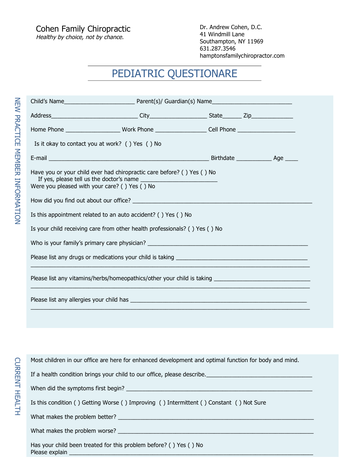## PEDIATRIC QUESTIONARE

| Home Phone _______________________Work Phone ____________________Cell Phone ________________________                    |  |  |  |  |  |  |
|-------------------------------------------------------------------------------------------------------------------------|--|--|--|--|--|--|
| Is it okay to contact you at work? () Yes () No                                                                         |  |  |  |  |  |  |
|                                                                                                                         |  |  |  |  |  |  |
| Have you or your child ever had chiropractic care before? () Yes () No<br>Were you pleased with your care? () Yes () No |  |  |  |  |  |  |
|                                                                                                                         |  |  |  |  |  |  |
| Is this appointment related to an auto accident? () Yes () No                                                           |  |  |  |  |  |  |
| Is your child receiving care from other health professionals? () Yes () No                                              |  |  |  |  |  |  |
|                                                                                                                         |  |  |  |  |  |  |
|                                                                                                                         |  |  |  |  |  |  |
|                                                                                                                         |  |  |  |  |  |  |
|                                                                                                                         |  |  |  |  |  |  |
|                                                                                                                         |  |  |  |  |  |  |

NEW PRACTICE MEMBER INFORMATION

NEW PRACTICE MEMBER INFORMATION

Most children in our office are here for enhanced development and optimal function for body and mind.

If a health condition brings your child to our office, please describe.\_\_\_\_\_\_\_\_\_\_\_\_\_\_\_\_\_\_\_\_\_\_\_\_\_\_\_\_\_\_\_\_\_

When did the symptoms first begin? \_\_\_\_\_\_\_\_\_\_\_\_\_\_\_\_\_\_\_\_\_\_\_\_\_\_\_\_\_\_\_\_\_\_\_\_\_\_\_\_\_\_\_\_\_\_\_\_\_\_\_\_\_\_\_\_\_\_

Is this condition ( ) Getting Worse ( ) Improving ( ) Intermittent ( ) Constant ( ) Not Sure

What makes the problem better? \_\_\_\_\_\_\_\_\_\_\_\_\_\_\_\_\_\_\_\_\_\_\_\_\_\_\_\_\_\_\_\_\_\_\_\_\_\_\_\_\_\_\_\_\_\_\_\_\_\_\_\_\_\_\_\_\_\_\_\_\_

What makes the problem worse? \_\_\_\_\_\_\_\_\_\_\_\_\_\_\_\_\_\_\_\_\_\_\_\_\_\_\_\_\_\_\_\_\_\_\_\_\_\_\_\_\_\_\_\_\_\_\_\_\_\_\_\_\_\_\_\_\_\_\_\_\_

Has your child been treated for this problem before? ( ) Yes ( ) No Please explain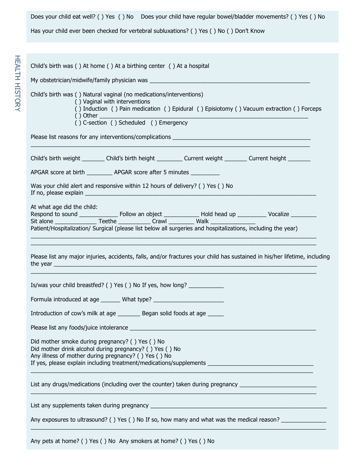Does your child eat well? ( ) Yes ( ) No Does your child have regular bowel/bladder movements? ( ) Yes ( ) No

Has your child ever been checked for vertebral subluxations? ( ) Yes ( ) No ( ) Don't Know

| Child's birth was () At home () At a birthing center () At a hospital                                                                                                                                                                                                |  |  |  |  |  |  |
|----------------------------------------------------------------------------------------------------------------------------------------------------------------------------------------------------------------------------------------------------------------------|--|--|--|--|--|--|
|                                                                                                                                                                                                                                                                      |  |  |  |  |  |  |
| Child's birth was () Natural vaginal (no medications/interventions)<br>() Vaginal with interventions<br>() Induction () Pain medication () Epidural () Episiotomy () Vacuum extraction () Forceps<br>$( )$ Other and $( )$<br>() C-section () Scheduled () Emergency |  |  |  |  |  |  |
|                                                                                                                                                                                                                                                                      |  |  |  |  |  |  |
| Child's birth weight _________ Child's birth height _________ Current weight ________ Current height ________                                                                                                                                                        |  |  |  |  |  |  |
| APGAR score at birth ___________ APGAR score after 5 minutes ___________                                                                                                                                                                                             |  |  |  |  |  |  |
| Was your child alert and responsive within 12 hours of delivery? () Yes () No                                                                                                                                                                                        |  |  |  |  |  |  |
| At what age did the child:<br>Patient/Hospitalization/ Surgical (please list below all surgeries and hospitalizations, including the year)                                                                                                                           |  |  |  |  |  |  |
| Please list any major injuries, accidents, falls, and/or fractures your child has sustained in his/her lifetime, including                                                                                                                                           |  |  |  |  |  |  |
| Is/was your child breastfed? () Yes () No If yes, how long? _______________                                                                                                                                                                                          |  |  |  |  |  |  |
| Formula introduced at age _______ What type? ___________________________________                                                                                                                                                                                     |  |  |  |  |  |  |
| Introduction of cow's milk at age _________ Began solid foods at age ______                                                                                                                                                                                          |  |  |  |  |  |  |
|                                                                                                                                                                                                                                                                      |  |  |  |  |  |  |
| Did mother smoke during pregnancy? () Yes () No<br>Did mother drink alcohol during pregnancy? () Yes () No<br>Any illness of mother during pregnancy? () Yes () No                                                                                                   |  |  |  |  |  |  |
| List any drugs/medications (including over the counter) taken during pregnancy ______________________________                                                                                                                                                        |  |  |  |  |  |  |
|                                                                                                                                                                                                                                                                      |  |  |  |  |  |  |
| Any exposures to ultrasound? () Yes () No If so, how many and what was the medical reason?                                                                                                                                                                           |  |  |  |  |  |  |
| Any pets at home? () Yes () No Any smokers at home? () Yes () No                                                                                                                                                                                                     |  |  |  |  |  |  |